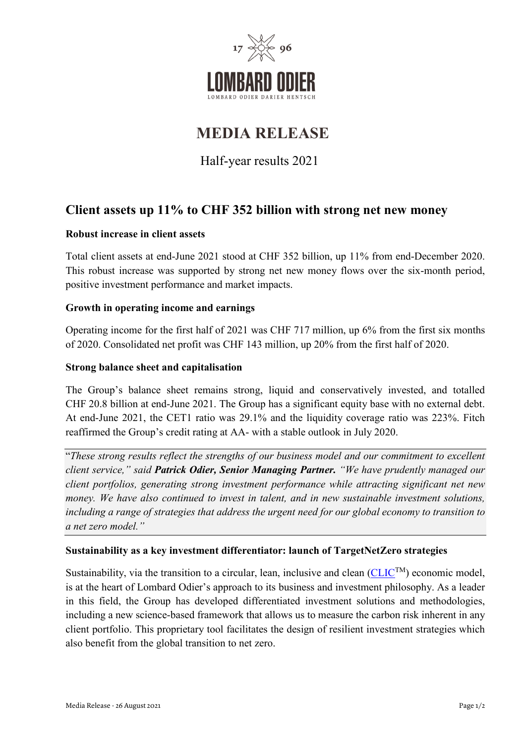

# **MEDIA RELEASE**

Half-year results 2021

# **Client assets up 11% to CHF 352 billion with strong net new money**

# **Robust increase in client assets**

Total client assets at end-June 2021 stood at CHF 352 billion, up 11% from end-December 2020. This robust increase was supported by strong net new money flows over the six-month period, positive investment performance and market impacts.

# **Growth in operating income and earnings**

Operating income for the first half of 2021 was CHF 717 million, up 6% from the first six months of 2020. Consolidated net profit was CHF 143 million, up 20% from the first half of 2020.

# **Strong balance sheet and capitalisation**

The Group's balance sheet remains strong, liquid and conservatively invested, and totalled CHF 20.8 billion at end-June 2021. The Group has a significant equity base with no external debt. At end-June 2021, the CET1 ratio was 29.1% and the liquidity coverage ratio was 223%. Fitch reaffirmed the Group's credit rating at AA- with a stable outlook in July 2020.

"*These strong results reflect the strengths of our business model and our commitment to excellent client service," said Patrick Odier, Senior Managing Partner. "We have prudently managed our client portfolios, generating strong investment performance while attracting significant net new money. We have also continued to invest in talent, and in new sustainable investment solutions, including a range of strategies that address the urgent need for our global economy to transition to a net zero model."*

# **Sustainability as a key investment differentiator: launch of TargetNetZero strategies**

Sustainability, via the transition to a circular, lean, inclusive and clean  $(CLIC^{TM})$  $(CLIC^{TM})$  economic model, is at the heart of Lombard Odier's approach to its business and investment philosophy. As a leader in this field, the Group has developed differentiated investment solutions and methodologies, including a new science-based framework that allows us to measure the carbon risk inherent in any client portfolio. This proprietary tool facilitates the design of resilient investment strategies which also benefit from the global transition to net zero.